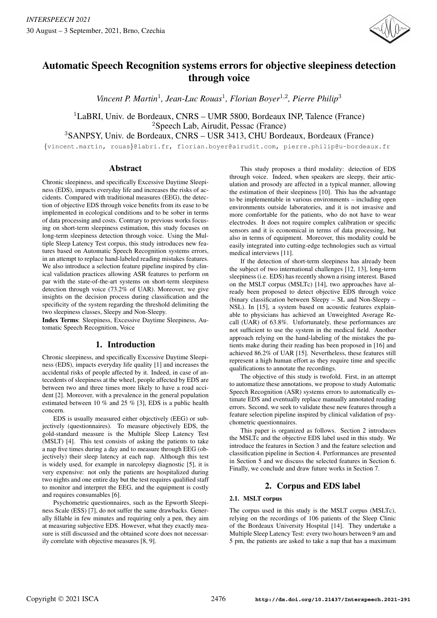

# Automatic Speech Recognition systems errors for objective sleepiness detection through voice

Vincent P. Martin<sup>1</sup>, Jean-Luc Rouas<sup>1</sup>, Florian Boyer<sup>1,2</sup>, Pierre Philip<sup>3</sup>

<sup>1</sup>LaBRI, Univ. de Bordeaux, CNRS – UMR 5800, Bordeaux INP, Talence (France) <sup>2</sup>Speech Lab, Airudit, Pessac (France)

<sup>3</sup>SANPSY, Univ. de Bordeaux, CNRS – USR 3413, CHU Bordeaux, Bordeaux (France)

{vincent.martin, rouas}@labri.fr, florian.boyer@airudit.com, pierre.philip@u-bordeaux.fr

# Abstract

Chronic sleepiness, and specifically Excessive Daytime Sleepiness (EDS), impacts everyday life and increases the risks of accidents. Compared with traditional measures (EEG), the detection of objective EDS through voice benefits from its ease to be implemented in ecological conditions and to be sober in terms of data processing and costs. Contrary to previous works focusing on short-term sleepiness estimation, this study focuses on long-term sleepiness detection through voice. Using the Multiple Sleep Latency Test corpus, this study introduces new features based on Automatic Speech Recognition systems errors, in an attempt to replace hand-labeled reading mistakes features. We also introduce a selection feature pipeline inspired by clinical validation practices allowing ASR features to perform on par with the state-of-the-art systems on short-term sleepiness detection through voice (73.2% of UAR). Moreover, we give insights on the decision process during classification and the specificity of the system regarding the threshold delimiting the two sleepiness classes, Sleepy and Non-Sleepy.

Index Terms: Sleepiness, Excessive Daytime Sleepiness, Automatic Speech Recognition, Voice

# 1. Introduction

Chronic sleepiness, and specifically Excessive Daytime Sleepiness (EDS), impacts everyday life quality [1] and increases the accidental risks of people affected by it. Indeed, in case of antecedents of sleepiness at the wheel, people affected by EDS are between two and three times more likely to have a road accident [2]. Moreover, with a prevalence in the general population estimated between 10 % and 25 % [3], EDS is a public health concern.

EDS is usually measured either objectively (EEG) or subjectively (questionnaires). To measure objectively EDS, the gold-standard measure is the Multiple Sleep Latency Test (MSLT) [4]. This test consists of asking the patients to take a nap five times during a day and to measure through EEG (objectively) their sleep latency at each nap. Although this test is widely used, for example in narcolepsy diagnostic [5], it is very expensive: not only the patients are hospitalized during two nights and one entire day but the test requires qualified staff to monitor and interpret the EEG, and the equipment is costly and requires consumables [6].

Psychometric questionnaires, such as the Epworth Sleepiness Scale (ESS) [7], do not suffer the same drawbacks. Generally fillable in few minutes and requiring only a pen, they aim at measuring subjective EDS. However, what they exactly measure is still discussed and the obtained score does not necessarily correlate with objective measures [8, 9].

This study proposes a third modality: detection of EDS through voice. Indeed, when speakers are sleepy, their articulation and prosody are affected in a typical manner, allowing the estimation of their sleepiness [10]. This has the advantage to be implementable in various environments – including open environments outside laboratories, and it is not invasive and more comfortable for the patients, who do not have to wear electrodes. It does not require complex calibration or specific sensors and it is economical in terms of data processing, but also in terms of equipment. Moreover, this modality could be easily integrated into cutting-edge technologies such as virtual medical interviews [11].

If the detection of short-term sleepiness has already been the subject of two international challenges [12, 13], long-term sleepiness (i.e. EDS) has recently shown a rising interest. Based on the MSLT corpus (MSLTc) [14], two approaches have already been proposed to detect objective EDS through voice (binary classification between Sleepy – SL and Non-Sleepy – NSL). In [15], a system based on acoustic features explainable to physicians has achieved an Unweighted Average Recall (UAR) of 63.8%. Unfortunately, these performances are not sufficient to use the system in the medical field. Another approach relying on the hand-labeling of the mistakes the patients make during their reading has been proposed in [16] and achieved 86.2% of UAR [15]. Nevertheless, these features still represent a high human effort as they require time and specific qualifications to annotate the recordings.

The objective of this study is twofold. First, in an attempt to automatize these annotations, we propose to study Automatic Speech Recognition (ASR) systems errors to automatically estimate EDS and eventually replace manually annotated reading errors. Second, we seek to validate these new features through a feature selection pipeline inspired by clinical validation of psychometric questionnaires.

This paper is organized as follows. Section 2 introduces the MSLTc and the objective EDS label used in this study. We introduce the features in Section 3 and the feature selection and classification pipeline in Section 4. Performances are presented in Section 5 and we discuss the selected features in Section 6. Finally, we conclude and draw future works in Section 7.

# 2. Corpus and EDS label

### 2.1. MSLT corpus

The corpus used in this study is the MSLT corpus (MSLTc), relying on the recordings of 106 patients of the Sleep Clinic of the Bordeaux University Hospital [14]. They undertake a Multiple Sleep Latency Test: every two hours between 9 am and 5 pm, the patients are asked to take a nap that has a maximum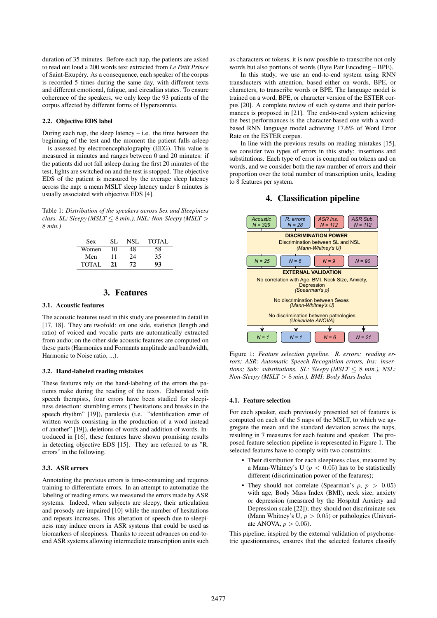duration of 35 minutes. Before each nap, the patients are asked to read out loud a 200 words text extracted from *Le Petit Prince* of Saint-Exupéry. As a consequence, each speaker of the corpus is recorded 5 times during the same day, with different texts and different emotional, fatigue, and circadian states. To ensure coherence of the speakers, we only keep the 93 patients of the corpus affected by different forms of Hypersomnia.

#### 2.2. Objective EDS label

During each nap, the sleep latency  $-$  i.e. the time between the beginning of the test and the moment the patient falls asleep – is assessed by electroencephalography (EEG). This value is measured in minutes and ranges between 0 and 20 minutes: if the patients did not fall asleep during the first 20 minutes of the test, lights are switched on and the test is stopped. The objective EDS of the patient is measured by the average sleep latency across the nap: a mean MSLT sleep latency under 8 minutes is usually associated with objective EDS [4].

Table 1: *Distribution of the speakers across Sex and Sleepiness class. SL: Sleepy (MSLT*  $\leq$  8 *min.), NSL: Non-Sleepy (MSLT*  $>$ 8 *min.)*

| Sex          | SI. | NSL | <b>TOTAL</b> |
|--------------|-----|-----|--------------|
| Women        | 10  | 48  | 58           |
| Men          | 11  | 24  | 35           |
| <b>TOTAL</b> | 21  | 72  | 93           |

# 3. Features

#### 3.1. Acoustic features

The acoustic features used in this study are presented in detail in [17, 18]. They are twofold: on one side, statistics (length and ratio) of voiced and vocalic parts are automatically extracted from audio; on the other side acoustic features are computed on these parts (Harmonics and Formants amplitude and bandwidth, Harmonic to Noise ratio, ...).

#### 3.2. Hand-labeled reading mistakes

These features rely on the hand-labeling of the errors the patients make during the reading of the texts. Elaborated with speech therapists, four errors have been studied for sleepiness detection: stumbling errors ("hesitations and breaks in the speech rhythm" [19]), paralexia (i.e. "identification error of written words consisting in the production of a word instead of another" [19]), deletions of words and addition of words. Introduced in [16], these features have shown promising results in detecting objective EDS [15]. They are referred to as "R. errors" in the following.

#### 3.3. ASR errors

Annotating the previous errors is time-consuming and requires training to differentiate errors. In an attempt to automatize the labeling of reading errors, we measured the errors made by ASR systems. Indeed, when subjects are sleepy, their articulation and prosody are impaired [10] while the number of hesitations and repeats increases. This alteration of speech due to sleepiness may induce errors in ASR systems that could be used as biomarkers of sleepiness. Thanks to recent advances on end-toend ASR systems allowing intermediate transcription units such as characters or tokens, it is now possible to transcribe not only words but also portions of words (Byte Pair Encoding – BPE).

In this study, we use an end-to-end system using RNN transducters with attention, based either on words, BPE, or characters, to transcribe words or BPE. The language model is trained on a word, BPE, or character version of the ESTER corpus [20]. A complete review of such systems and their performances is proposed in [21]. The end-to-end system achieving the best performances is the character-based one with a wordbased RNN language model achieving 17.6% of Word Error Rate on the ESTER corpus.

In line with the previous results on reading mistakes [15], we consider two types of errors in this study: insertions and substitutions. Each type of error is computed on tokens and on words, and we consider both the raw number of errors and their proportion over the total number of transcription units, leading to 8 features per system.

## 4. Classification pipeline



Figure 1: *Feature selection pipeline. R. errors: reading errors; ASR: Automatic Speech Recognition errors, Ins: insertions; Sub: substitutions. SL: Sleepy (MSLT*  $\leq$  8 *min.), NSL: Non-Sleepy (MSLT* > 8 *min.). BMI: Body Mass Index*

#### 4.1. Feature selection

For each speaker, each previously presented set of features is computed on each of the 5 naps of the MSLT, to which we aggregate the mean and the standard deviation across the naps, resulting in 7 measures for each feature and speaker. The proposed feature selection pipeline is represented in Figure 1. The selected features have to comply with two constraints:

- Their distribution for each sleepiness class, measured by a Mann-Whitney's U ( $p < 0.05$ ) has to be statistically different (discrimination power of the features);
- They should not correlate (Spearman's  $\rho$ ,  $p > 0.05$ ) with age, Body Mass Index (BMI), neck size, anxiety or depression (measured by the Hospital Anxiety and Depression scale [22]); they should not discriminate sex (Mann Whitney's U,  $p > 0.05$ ) or pathologies (Univariate ANOVA,  $p > 0.05$ ).

This pipeline, inspired by the external validation of psychometric questionnaires, ensures that the selected features classify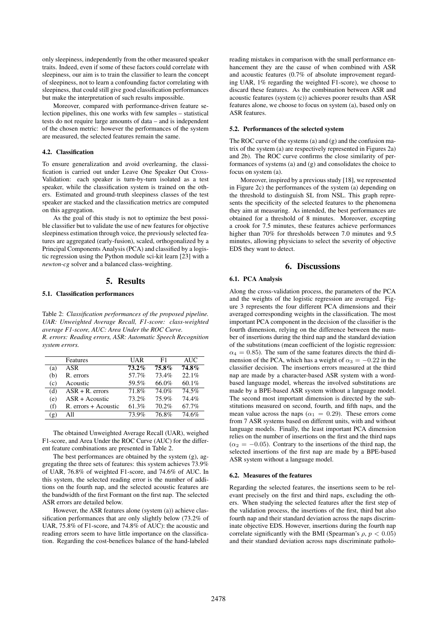only sleepiness, independently from the other measured speaker traits. Indeed, even if some of these factors could correlate with sleepiness, our aim is to train the classifier to learn the concept of sleepiness, not to learn a confounding factor correlating with sleepiness, that could still give good classification performances but make the interpretation of such results impossible.

Moreover, compared with performance-driven feature selection pipelines, this one works with few samples – statistical tests do not require large amounts of data – and is independent of the chosen metric: however the performances of the system are measured, the selected features remain the same.

#### 4.2. Classification

To ensure generalization and avoid overlearning, the classification is carried out under Leave One Speaker Out Cross-Validation: each speaker is turn-by-turn isolated as a test speaker, while the classification system is trained on the others. Estimated and ground-truth sleepiness classes of the test speaker are stacked and the classification metrics are computed on this aggregation.

As the goal of this study is not to optimize the best possible classifier but to validate the use of new features for objective sleepiness estimation through voice, the previously selected features are aggregated (early-fusion), scaled, orthogonalized by a Principal Components Analysis (PCA) and classified by a logistic regression using the Python module sci-kit learn [23] with a *newton-cg* solver and a balanced class-weighting.

#### 5. Results

#### 5.1. Classification performances

Table 2: *Classification performances of the proposed pipeline. UAR: Unweighted Average Recall, F1-score: class-weighted average F1-score, AUC: Area Under the ROC Curve. R. errors: Reading errors, ASR: Automatic Speech Recognition system errors.*

|     | Features             | UAR      | F1    | <b>AUC</b> |
|-----|----------------------|----------|-------|------------|
| (a) | ASR                  | $73.2\%$ | 75.8% | 74.8%      |
| (b) | R. errors            | 57.7%    | 73.4% | 22.1%      |
| (c) | Acoustic             | 59.5%    | 66.0% | 60.1%      |
| (d) | $ASR + R$ . errors   | 71.8%    | 74.0% | 74.5%      |
| (e) | $ASR + Acoustic$     | 73.2%    | 75.9% | 74.4%      |
| (f) | R. errors + Acoustic | 61.3%    | 70.2% | 67.7%      |
| (g) | All                  | 73.9%    | 76.8% | 74.6%      |

The obtained Unweighted Average Recall (UAR), weighed F1-score, and Area Under the ROC Curve (AUC) for the different feature combinations are presented in Table 2.

The best performances are obtained by the system (g), aggregating the three sets of features: this system achieves 73.9% of UAR, 76.8% of weighted F1-score, and 74.6% of AUC. In this system, the selected reading error is the number of additions on the fourth nap, and the selected acoustic features are the bandwidth of the first Formant on the first nap. The selected ASR errors are detailed below.

However, the ASR features alone (system (a)) achieve classification performances that are only slightly below (73.2% of UAR, 75.8% of F1-score, and 74.8% of AUC): the acoustic and reading errors seem to have little importance on the classification. Regarding the cost-benefices balance of the hand-labeled

reading mistakes in comparison with the small performance enhancement they are the cause of when combined with ASR and acoustic features (0.7% of absolute improvement regarding UAR, 1% regarding the weighted F1-score), we choose to discard these features. As the combination between ASR and acoustic features (system (c)) achieves poorer results than ASR features alone, we choose to focus on system (a), based only on ASR features.

#### 5.2. Performances of the selected system

The ROC curve of the systems (a) and (g) and the confusion matrix of the system (a) are respectively represented in Figures 2a) and 2b). The ROC curve confirms the close similarity of performances of systems (a) and (g) and consolidates the choice to focus on system (a).

Moreover, inspired by a previous study [18], we represented in Figure 2c) the performances of the system (a) depending on the threshold to distinguish SL from NSL. This graph represents the specificity of the selected features to the phenomena they aim at measuring. As intended, the best performances are obtained for a threshold of 8 minutes. Moreover, excepting a crook for 7.5 minutes, these features achieve performances higher than 70% for thresholds between 7.0 minutes and 9.5 minutes, allowing physicians to select the severity of objective EDS they want to detect.

### 6. Discussions

#### 6.1. PCA Analysis

Along the cross-validation process, the parameters of the PCA and the weights of the logistic regression are averaged. Figure 3 represents the four different PCA dimensions and their averaged corresponding weights in the classification. The most important PCA component in the decision of the classifier is the fourth dimension, relying on the difference between the number of insertions during the third nap and the standard deviation of the substitutions (mean coefficient of the logistic regression:  $\alpha_4 = 0.85$ . The sum of the same features directs the third dimension of the PCA, which has a weight of  $\alpha_3 = -0.22$  in the classifier decision. The insertions errors measured at the third nap are made by a character-based ASR system with a wordbased language model, whereas the involved substitutions are made by a BPE-based ASR system without a language model. The second most important dimension is directed by the substitutions measured on second, fourth, and fifth naps, and the mean value across the naps ( $\alpha_1 = 0.29$ ). These errors come from 7 ASR systems based on different units, with and without language models. Finally, the least important PCA dimension relies on the number of insertions on the first and the third naps  $(\alpha_2 = -0.05)$ . Contrary to the insertions of the third nap, the selected insertions of the first nap are made by a BPE-based ASR system without a language model.

#### 6.2. Measures of the features

Regarding the selected features, the insertions seem to be relevant precisely on the first and third naps, excluding the others. When studying the selected features after the first step of the validation process, the insertions of the first, third but also fourth nap and their standard deviation across the naps discriminate objective EDS. However, insertions during the fourth nap correlate significantly with the BMI (Spearman's  $\rho$ ,  $p < 0.05$ ) and their standard deviation across naps discriminate patholo-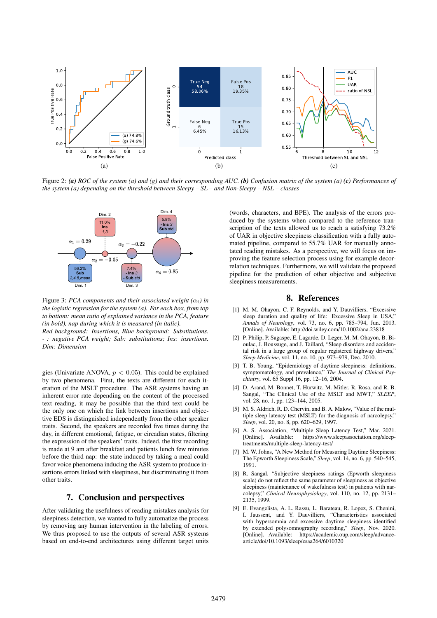

Figure 2: *(a) ROC of the system (a) and (g) and their corresponding AUC. (b) Confusion matrix of the system (a) (c) Performances of the system (a) depending on the threshold between Sleepy – SL – and Non-Sleepy – NSL – classes*



Figure 3: *PCA* components and their associated weight  $(\alpha_i)$  in *the logistic regression for the system (a). For each box, from top to bottom: mean ratio of explained variance in the PCA, feature (in bold), nap during which it is measured (in italic).*

*Red background: Insertions, Blue background: Substitutions. - : negative PCA weight; Sub: substitutions; Ins: insertions. Dim: Dimension*

gies (Univariate ANOVA,  $p < 0.05$ ). This could be explained by two phenomena. First, the texts are different for each iteration of the MSLT procedure. The ASR systems having an inherent error rate depending on the content of the processed text reading, it may be possible that the third text could be the only one on which the link between insertions and objective EDS is distinguished independently from the other speaker traits. Second, the speakers are recorded five times during the day, in different emotional, fatigue, or circadian states, filtering the expression of the speakers' traits. Indeed, the first recording is made at 9 am after breakfast and patients lunch few minutes before the third nap: the state induced by taking a meal could favor voice phenomena inducing the ASR system to produce insertions errors linked with sleepiness, but discriminating it from other traits.

# 7. Conclusion and perspectives

After validating the usefulness of reading mistakes analysis for sleepiness detection, we wanted to fully automatize the process by removing any human intervention in the labeling of errors. We thus proposed to use the outputs of several ASR systems based on end-to-end architectures using different target units

(words, characters, and BPE). The analysis of the errors produced by the systems when compared to the reference transcription of the texts allowed us to reach a satisfying  $73.2\%$ of UAR in objective sleepiness classification with a fully automated pipeline, compared to 55.7% UAR for manually annotated reading mistakes. As a perspective, we will focus on improving the feature selection process using for example decorrelation techniques. Furthermore, we will validate the proposed pipeline for the prediction of other objective and subjective sleepiness measurements.

#### 8. References

- [1] M. M. Ohayon, C. F. Reynolds, and Y. Dauvilliers, "Excessive sleep duration and quality of life: Excessive Sleep in USA,' *Annals of Neurology*, vol. 73, no. 6, pp. 785–794, Jun. 2013. [Online]. Available: http://doi.wiley.com/10.1002/ana.23818
- [2] P. Philip, P. Sagaspe, E. Lagarde, D. Leger, M. M. Ohayon, B. Bioulac, J. Boussuge, and J. Taillard, "Sleep disorders and accidental risk in a large group of regular registered highway drivers," *Sleep Medicine*, vol. 11, no. 10, pp. 973–979, Dec. 2010.
- [3] T. B. Young, "Epidemiology of daytime sleepiness: definitions, symptomatology, and prevalence," *The Journal of Clinical Psychiatry*, vol. 65 Suppl 16, pp. 12–16, 2004.
- [4] D. Arand, M. Bonnet, T. Hurwitz, M. Mitler, R. Rosa, and R. B. Sangal, "The Clinical Use of the MSLT and MWT," *SLEEP*, vol. 28, no. 1, pp. 123–144, 2005.
- [5] M. S. Aldrich, R. D. Chervin, and B. A. Malow, "Value of the multiple sleep latency test (MSLT) for the diagnosis of narcolepsy," *Sleep*, vol. 20, no. 8, pp. 620–629, 1997.
- [6] A. S. Association, "Multiple Sleep Latency Test," Mar. 2021. https://www.sleepassociation.org/sleeptreatments/multiple-sleep-latency-test/
- [7] M. W. Johns, "A New Method for Measuring Daytime Sleepiness: The Epworth Sleepiness Scale," *Sleep*, vol. 14, no. 6, pp. 540–545, 1991.
- [8] R. Sangal, "Subjective sleepiness ratings (Epworth sleepiness scale) do not reflect the same parameter of sleepiness as objective sleepiness (maintenance of wakefulness test) in patients with narcolepsy," *Clinical Neurophysiology*, vol. 110, no. 12, pp. 2131– 2135, 1999.
- [9] E. Evangelista, A. L. Rassu, L. Barateau, R. Lopez, S. Chenini, I. Jaussent, and Y. Dauvilliers, "Characteristics associated with hypersomnia and excessive daytime sleepiness identified by extended polysomnography recording," *Sleep*, Nov. 2020. [Online]. Available: https://academic.oup.com/sleep/advancearticle/doi/10.1093/sleep/zsaa264/6010320